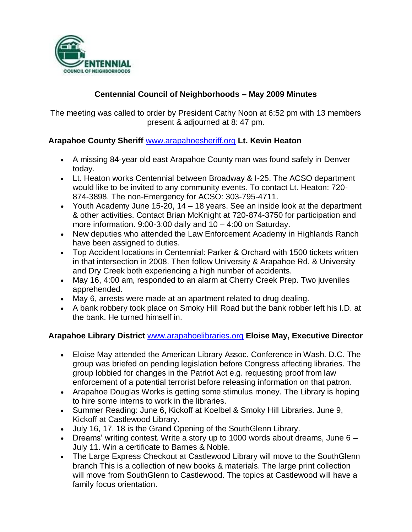

## **Centennial Council of Neighborhoods – May 2009 Minutes**

The meeting was called to order by President Cathy Noon at 6:52 pm with 13 members present & adjourned at 8: 47 pm.

## **Arapahoe County Sheriff** [www.arapahoesheriff.org](http://www.arapahoesheriff.org/) **Lt. Kevin Heaton**

- A missing 84-year old east Arapahoe County man was found safely in Denver today.
- Lt. Heaton works Centennial between Broadway & I-25. The ACSO department would like to be invited to any community events. To contact Lt. Heaton: 720- 874-3898. The non-Emergency for ACSO: 303-795-4711.
- Youth Academy June 15-20, 14 18 years. See an inside look at the department & other activities. Contact Brian McKnight at 720-874-3750 for participation and more information. 9:00-3:00 daily and 10 – 4:00 on Saturday.
- New deputies who attended the Law Enforcement Academy in Highlands Ranch have been assigned to duties.
- Top Accident locations in Centennial: Parker & Orchard with 1500 tickets written in that intersection in 2008. Then follow University & Arapahoe Rd. & University and Dry Creek both experiencing a high number of accidents.
- May 16, 4:00 am, responded to an alarm at Cherry Creek Prep. Two juveniles apprehended.
- May 6, arrests were made at an apartment related to drug dealing.
- A bank robbery took place on Smoky Hill Road but the bank robber left his I.D. at the bank. He turned himself in.

# **Arapahoe Library District** [www.arapahoelibraries.org](http://www.arapahoelibraries.org/) **Eloise May, Executive Director**

- Eloise May attended the American Library Assoc. Conference in Wash. D.C. The group was briefed on pending legislation before Congress affecting libraries. The group lobbied for changes in the Patriot Act e.g. requesting proof from law enforcement of a potential terrorist before releasing information on that patron.
- Arapahoe Douglas Works is getting some stimulus money. The Library is hoping to hire some interns to work in the libraries.
- Summer Reading: June 6, Kickoff at Koelbel & Smoky Hill Libraries. June 9, Kickoff at Castlewood Library.
- July 16, 17, 18 is the Grand Opening of the SouthGlenn Library.
- Dreams' writing contest. Write a story up to 1000 words about dreams, June  $6 -$ July 11. Win a certificate to Barnes & Noble.
- The Large Express Checkout at Castlewood Library will move to the SouthGlenn branch This is a collection of new books & materials. The large print collection will move from SouthGlenn to Castlewood. The topics at Castlewood will have a family focus orientation.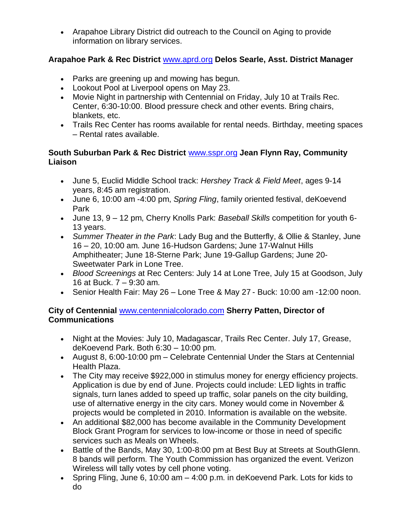Arapahoe Library District did outreach to the Council on Aging to provide information on library services.

## **Arapahoe Park & Rec District** [www.aprd.org](http://www.aprd.org/) **Delos Searle, Asst. District Manager**

- Parks are greening up and mowing has begun.
- Lookout Pool at Liverpool opens on May 23.
- Movie Night in partnership with Centennial on Friday, July 10 at Trails Rec. Center, 6:30-10:00. Blood pressure check and other events. Bring chairs, blankets, etc.
- Trails Rec Center has rooms available for rental needs. Birthday, meeting spaces – Rental rates available.

### **South Suburban Park & Rec District** [www.sspr.org](http://www.sspr.org/) **Jean Flynn Ray, Community Liaison**

- June 5, Euclid Middle School track: *Hershey Track & Field Meet*, ages 9-14 years, 8:45 am registration.
- June 6, 10:00 am -4:00 pm, *Spring Fling*, family oriented festival, deKoevend Park
- June 13, 9 12 pm, Cherry Knolls Park: *Baseball Skills* competition for youth 6- 13 years.
- *Summer Theater in the Park*: Lady Bug and the Butterfly, & Ollie & Stanley, June 16 – 20, 10:00 am. June 16-Hudson Gardens; June 17-Walnut Hills Amphitheater; June 18-Sterne Park; June 19-Gallup Gardens; June 20- Sweetwater Park in Lone Tree.
- *Blood Screenings* at Rec Centers: July 14 at Lone Tree, July 15 at Goodson, July 16 at Buck. 7 – 9:30 am.
- Senior Health Fair: May 26 Lone Tree & May 27 Buck: 10:00 am -12:00 noon.

## **City of Centennial** [www.centennialcolorado.com](http://www.centennialcolorado.com/) **Sherry Patten, Director of Communications**

- Night at the Movies: July 10, Madagascar, Trails Rec Center. July 17, Grease, deKoevend Park. Both 6:30 – 10:00 pm.
- August 8, 6:00-10:00 pm Celebrate Centennial Under the Stars at Centennial Health Plaza.
- The City may receive \$922,000 in stimulus money for energy efficiency projects. Application is due by end of June. Projects could include: LED lights in traffic signals, turn lanes added to speed up traffic, solar panels on the city building, use of alternative energy in the city cars. Money would come in November & projects would be completed in 2010. Information is available on the website.
- An additional \$82,000 has become available in the Community Development Block Grant Program for services to low-income or those in need of specific services such as Meals on Wheels.
- Battle of the Bands, May 30, 1:00-8:00 pm at Best Buy at Streets at SouthGlenn. 8 bands will perform. The Youth Commission has organized the event. Verizon Wireless will tally votes by cell phone voting.
- Spring Fling, June 6, 10:00 am 4:00 p.m. in deKoevend Park. Lots for kids to do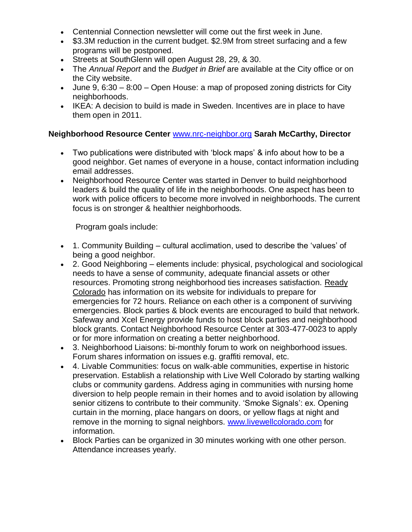- Centennial Connection newsletter will come out the first week in June.
- \$3.3M reduction in the current budget. \$2.9M from street surfacing and a few programs will be postponed.
- Streets at SouthGlenn will open August 28, 29, & 30.
- The *Annual Report* and the *Budget in Brief* are available at the City office or on the City website.
- Uune 9,  $6:30 8:00 -$  Open House: a map of proposed zoning districts for City neighborhoods.
- IKEA: A decision to build is made in Sweden. Incentives are in place to have them open in 2011.

#### **Neighborhood Resource Center** [www.nrc-neighbor.org](http://www.nrc-neighbor.org/) **Sarah McCarthy, Director**

- Two publications were distributed with 'block maps' & info about how to be a good neighbor. Get names of everyone in a house, contact information including email addresses.
- Neighborhood Resource Center was started in Denver to build neighborhood leaders & build the quality of life in the neighborhoods. One aspect has been to work with police officers to become more involved in neighborhoods. The current focus is on stronger & healthier neighborhoods.

Program goals include:

- 1. Community Building cultural acclimation, used to describe the 'values' of being a good neighbor.
- 2. Good Neighboring elements include: physical, psychological and sociological needs to have a sense of community, adequate financial assets or other resources. Promoting strong neighborhood ties increases satisfaction. Ready Colorado has information on its website for individuals to prepare for emergencies for 72 hours. Reliance on each other is a component of surviving emergencies. Block parties & block events are encouraged to build that network. Safeway and Xcel Energy provide funds to host block parties and neighborhood block grants. Contact Neighborhood Resource Center at 303-477-0023 to apply or for more information on creating a better neighborhood.
- 3. Neighborhood Liaisons: bi-monthly forum to work on neighborhood issues. Forum shares information on issues e.g. graffiti removal, etc.
- 4. Livable Communities: focus on walk-able communities, expertise in historic preservation. Establish a relationship with Live Well Colorado by starting walking clubs or community gardens. Address aging in communities with nursing home diversion to help people remain in their homes and to avoid isolation by allowing senior citizens to contribute to their community. 'Smoke Signals': ex. Opening curtain in the morning, place hangars on doors, or yellow flags at night and remove in the morning to signal neighbors. [www.livewellcolorado.com](http://www.livewellcolorado.com/) for information.
- Block Parties can be organized in 30 minutes working with one other person. Attendance increases yearly.